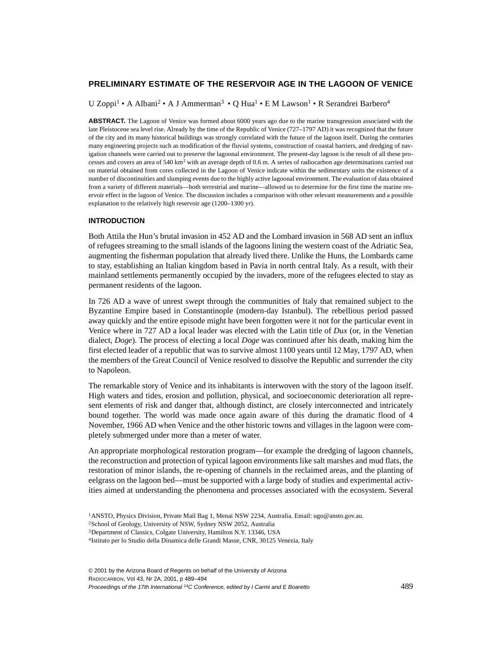# **PRELIMINARY ESTIMATE OF THE RESERVOIR AGE IN THE LAGOON OF VENICE**

U Zoppi<sup>1</sup> • A Albani<sup>2</sup> • A J Ammerman<sup>3</sup> • Q Hua<sup>1</sup> • E M Lawson<sup>1</sup> • R Serandrei Barbero<sup>4</sup>

**ABSTRACT.** The Lagoon of Venice was formed about 6000 years ago due to the marine transgression associated with the late Pleistocene sea level rise. Already by the time of the Republic of Venice (727–1797 AD) it was recognized that the future of the city and its many historical buildings was strongly correlated with the future of the lagoon itself. During the centuries many engineering projects such as modification of the fluvial systems, construction of coastal barriers, and dredging of navigation channels were carried out to preserve the lagoonal environment. The present-day lagoon is the result of all these processes and covers an area of 540 km<sup>2</sup> with an average depth of 0.6 m. A series of radiocarbon age determinations carried out on material obtained from cores collected in the Lagoon of Venice indicate within the sedimentary units the existence of a number of discontinuities and slumping events due to the highly active lagoonal environment. The evaluation of data obtained from a variety of different materials—both terrestrial and marine—allowed us to determine for the first time the marine reservoir effect in the lagoon of Venice. The discussion includes a comparison with other relevant measurements and a possible explanation to the relatively high reservoir age (1200–1300 yr).

#### **INTRODUCTION**

Both Attila the Hun's brutal invasion in 452 AD and the Lombard invasion in 568 AD sent an influx of refugees streaming to the small islands of the lagoons lining the western coast of the Adriatic Sea, augmenting the fisherman population that already lived there. Unlike the Huns, the Lombards came to stay, establishing an Italian kingdom based in Pavia in north central Italy. As a result, with their mainland settlements permanently occupied by the invaders, more of the refugees elected to stay as permanent residents of the lagoon.

In 726 AD a wave of unrest swept through the communities of Italy that remained subject to the Byzantine Empire based in Constantinople (modern-day Istanbul). The rebellious period passed away quickly and the entire episode might have been forgotten were it not for the particular event in Venice where in 727 AD a local leader was elected with the Latin title of *Dux* (or, in the Venetian dialect, *Doge*). The process of electing a local *Doge* was continued after his death, making him the first elected leader of a republic that was to survive almost 1100 years until 12 May, 1797 AD, when the members of the Great Council of Venice resolved to dissolve the Republic and surrender the city to Napoleon.

The remarkable story of Venice and its inhabitants is interwoven with the story of the lagoon itself. High waters and tides, erosion and pollution, physical, and socioeconomic deterioration all represent elements of risk and danger that, although distinct, are closely interconnected and intricately bound together. The world was made once again aware of this during the dramatic flood of 4 November, 1966 AD when Venice and the other historic towns and villages in the lagoon were completely submerged under more than a meter of water.

An appropriate morphological restoration program—for example the dredging of lagoon channels, the reconstruction and protection of typical lagoon environments like salt marshes and mud flats, the restoration of minor islands, the re-opening of channels in the reclaimed areas, and the planting of eelgrass on the lagoon bed—must be supported with a large body of studies and experimental activities aimed at understanding the phenomena and processes associated with the ecosystem. Several

© 2001 by the Arizona Board of Regents on behalf of the University of Arizona RADIOCARBON, Vol 43, Nr 2A, 2001, p 489–494 Proceedings of the 17th International 14C Conference, edited by I Carmi and E Boaretto 489

<sup>1</sup>ANSTO, Physics Division, Private Mail Bag 1, Menai NSW 2234, Australia. Email: ugo@ansto.gov.au.

<sup>2</sup>School of Geology, University of NSW, Sydney NSW 2052, Australia

<sup>3</sup>Department of Classics, Colgate University, Hamilton N.Y. 13346, USA

<sup>4</sup>Istituto per lo Studio della Dinamica delle Grandi Masse, CNR, 30125 Venezia, Italy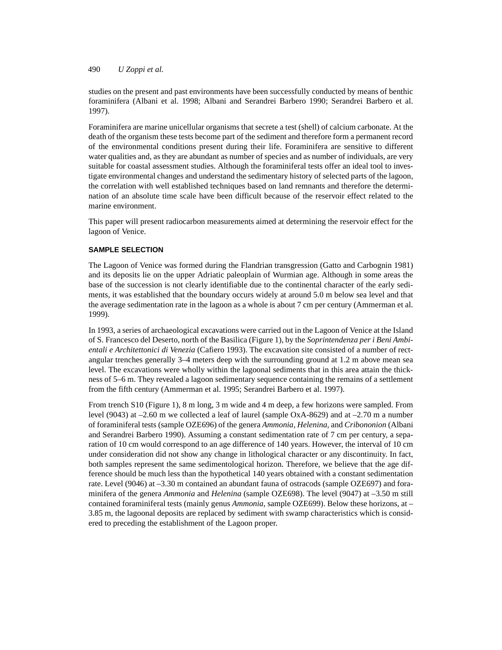490 *U Zoppi et al.*

studies on the present and past environments have been successfully conducted by means of benthic foraminifera (Albani et al. 1998; Albani and Serandrei Barbero 1990; Serandrei Barbero et al. 1997).

Foraminifera are marine unicellular organisms that secrete a test (shell) of calcium carbonate. At the death of the organism these tests become part of the sediment and therefore form a permanent record of the environmental conditions present during their life. Foraminifera are sensitive to different water qualities and, as they are abundant as number of species and as number of individuals, are very suitable for coastal assessment studies. Although the foraminiferal tests offer an ideal tool to investigate environmental changes and understand the sedimentary history of selected parts of the lagoon, the correlation with well established techniques based on land remnants and therefore the determination of an absolute time scale have been difficult because of the reservoir effect related to the marine environment.

This paper will present radiocarbon measurements aimed at determining the reservoir effect for the lagoon of Venice.

### **SAMPLE SELECTION**

The Lagoon of Venice was formed during the Flandrian transgression (Gatto and Carbognin 1981) and its deposits lie on the upper Adriatic paleoplain of Wurmian age. Although in some areas the base of the succession is not clearly identifiable due to the continental character of the early sediments, it was established that the boundary occurs widely at around 5.0 m below sea level and that the average sedimentation rate in the lagoon as a whole is about 7 cm per century (Ammerman et al. 1999).

In 1993, a series of archaeological excavations were carried out in the Lagoon of Venice at the Island of S. Francesco del Deserto, north of the Basilica (Figure 1), by the *Soprintendenza per i Beni Ambientali e Architettonici di Venezia* (Cafiero 1993). The excavation site consisted of a number of rectangular trenches generally 3–4 meters deep with the surrounding ground at 1.2 m above mean sea level. The excavations were wholly within the lagoonal sediments that in this area attain the thickness of 5–6 m. They revealed a lagoon sedimentary sequence containing the remains of a settlement from the fifth century (Ammerman et al. 1995; Serandrei Barbero et al. 1997).

From trench S10 (Figure 1), 8 m long, 3 m wide and 4 m deep, a few horizons were sampled. From level (9043) at –2.60 m we collected a leaf of laurel (sample OxA-8629) and at –2.70 m a number of foraminiferal tests (sample OZE696) of the genera *Ammonia*, *Helenina,* and *Cribononion* (Albani and Serandrei Barbero 1990). Assuming a constant sedimentation rate of 7 cm per century, a separation of 10 cm would correspond to an age difference of 140 years. However, the interval of 10 cm under consideration did not show any change in lithological character or any discontinuity. In fact, both samples represent the same sedimentological horizon. Therefore, we believe that the age difference should be much less than the hypothetical 140 years obtained with a constant sedimentation rate. Level (9046) at –3.30 m contained an abundant fauna of ostracods (sample OZE697) and foraminifera of the genera *Ammonia* and *Helenina* (sample OZE698). The level (9047) at –3.50 m still contained foraminiferal tests (mainly genus *Ammonia*, sample OZE699). Below these horizons, at – 3.85 m, the lagoonal deposits are replaced by sediment with swamp characteristics which is considered to preceding the establishment of the Lagoon proper.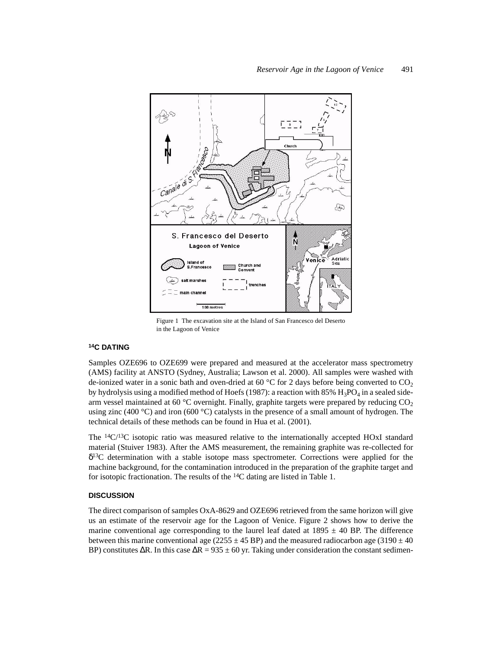

Figure 1 The excavation site at the Island of San Francesco del Deserto in the Lagoon of Venice

## **14C DATING**

Samples OZE696 to OZE699 were prepared and measured at the accelerator mass spectrometry (AMS) facility at ANSTO (Sydney, Australia; Lawson et al. 2000). All samples were washed with de-ionized water in a sonic bath and oven-dried at 60 °C for 2 days before being converted to  $CO<sub>2</sub>$ by hydrolysis using a modified method of Hoefs (1987): a reaction with 85%  $H_3PO_4$  in a sealed sidearm vessel maintained at 60 °C overnight. Finally, graphite targets were prepared by reducing  $CO<sub>2</sub>$ using zinc (400 °C) and iron (600 °C) catalysts in the presence of a small amount of hydrogen. The technical details of these methods can be found in Hua et al. (2001).

The  ${}^{14}C/{}^{13}C$  isotopic ratio was measured relative to the internationally accepted HOxI standard material (Stuiver 1983). After the AMS measurement, the remaining graphite was re-collected for  $\delta^{13}$ C determination with a stable isotope mass spectrometer. Corrections were applied for the machine background, for the contamination introduced in the preparation of the graphite target and for isotopic fractionation. The results of the  $^{14}C$  dating are listed in Table 1.

# **DISCUSSION**

The direct comparison of samples OxA-8629 and OZE696 retrieved from the same horizon will give us an estimate of the reservoir age for the Lagoon of Venice. Figure 2 shows how to derive the marine conventional age corresponding to the laurel leaf dated at  $1895 \pm 40$  BP. The difference between this marine conventional age (2255  $\pm$  45 BP) and the measured radiocarbon age (3190  $\pm$  40 BP) constitutes  $\Delta R$ . In this case  $\Delta R = 935 \pm 60$  yr. Taking under consideration the constant sedimen-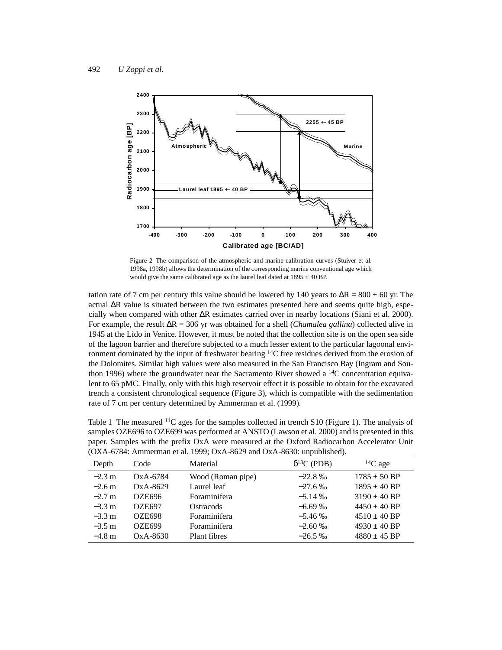

Figure 2 The comparison of the atmospheric and marine calibration curves (Stuiver et al. 1998a, 1998b) allows the determination of the corresponding marine conventional age which would give the same calibrated age as the laurel leaf dated at  $1895 \pm 40$  BP.

tation rate of 7 cm per century this value should be lowered by 140 years to  $\Delta R = 800 \pm 60$  yr. The actual ∆R value is situated between the two estimates presented here and seems quite high, especially when compared with other ∆R estimates carried over in nearby locations (Siani et al. 2000). For example, the result ∆R = 306 yr was obtained for a shell (*Chamalea gallina*) collected alive in 1945 at the Lido in Venice. However, it must be noted that the collection site is on the open sea side of the lagoon barrier and therefore subjected to a much lesser extent to the particular lagoonal environment dominated by the input of freshwater bearing 14C free residues derived from the erosion of the Dolomites. Similar high values were also measured in the San Francisco Bay (Ingram and Southon 1996) where the groundwater near the Sacramento River showed a  $^{14}$ C concentration equivalent to 65 pMC. Finally, only with this high reservoir effect it is possible to obtain for the excavated trench a consistent chronological sequence (Figure 3), which is compatible with the sedimentation rate of 7 cm per century determined by Ammerman et al. (1999).

Table 1 The measured <sup>14</sup>C ages for the samples collected in trench S10 (Figure 1). The analysis of samples OZE696 to OZE699 was performed at ANSTO (Lawson et al. 2000) and is presented in this paper. Samples with the prefix OxA were measured at the Oxford Radiocarbon Accelerator Unit (OXA-6784: Ammerman et al. 1999; OxA-8629 and OxA-8630: unpublished).

| Depth            | Code          | Material          | $\delta^{13}C$ (PDB) | ${}^{14}C$ age   |
|------------------|---------------|-------------------|----------------------|------------------|
| $-2.3 \text{ m}$ | OxA-6784      | Wood (Roman pipe) | $-22.8\%$            | $1785 \pm 50$ BP |
| $-2.6$ m         | $OxA-8629$    | Laurel leaf       | $-27.6\%$            | $1895 \pm 40$ BP |
| $-2.7$ m         | <b>OZE696</b> | Foraminifera      | $-5.14\%$            | $3190 \pm 40$ BP |
| $-3.3 \text{ m}$ | <b>OZE697</b> | Ostracods         | $-6.69\%$            | $4450 \pm 40$ BP |
| $-3.3 \text{ m}$ | <b>OZE698</b> | Foraminifera      | $-5.46\%$            | $4510 \pm 40$ BP |
| $-3.5$ m         | OZE699        | Foraminifera      | $-2.60\%$            | $4930 \pm 40$ BP |
| $-4.8 \text{ m}$ | $OxA-8630$    | Plant fibres      | $-26.5\%$            | $4880 \pm 45$ BP |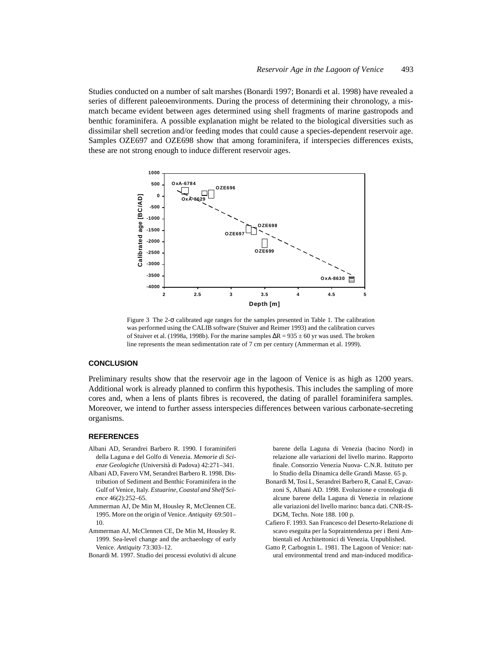Studies conducted on a number of salt marshes (Bonardi 1997; Bonardi et al. 1998) have revealed a series of different paleoenvironments. During the process of determining their chronology, a mismatch became evident between ages determined using shell fragments of marine gastropods and benthic foraminifera. A possible explanation might be related to the biological diversities such as dissimilar shell secretion and/or feeding modes that could cause a species-dependent reservoir age. Samples OZE697 and OZE698 show that among foraminifera, if interspecies differences exists, these are not strong enough to induce different reservoir ages.



Figure 3 The 2-σ calibrated age ranges for the samples presented in Table 1. The calibration was performed using the CALIB software (Stuiver and Reimer 1993) and the calibration curves of Stuiver et al. (1998a, 1998b). For the marine samples ∆R = 935 ± 60 yr was used. The broken line represents the mean sedimentation rate of 7 cm per century (Ammerman et al. 1999).

# **CONCLUSION**

Preliminary results show that the reservoir age in the lagoon of Venice is as high as 1200 years. Additional work is already planned to confirm this hypothesis. This includes the sampling of more cores and, when a lens of plants fibres is recovered, the dating of parallel foraminifera samples. Moreover, we intend to further assess interspecies differences between various carbonate-secreting organisms.

#### **REFERENCES**

- Albani AD, Serandrei Barbero R. 1990. I foraminiferi della Laguna e del Golfo di Venezia. *Memorie di Scienze Geologiche* (Università di Padova) 42:271–341.
- Albani AD, Favero VM, Serandrei Barbero R. 1998. Distribution of Sediment and Benthic Foraminifera in the Gulf of Venice, Italy. *Estuarine, Coastal and Shelf Science* 46(2):252–65.
- Ammerman AJ, De Min M, Housley R, McClennen CE. 1995. More on the origin of Venice. *Antiquity* 69:501– 10.
- Ammerman AJ, McClennen CE, De Min M, Housley R. 1999. Sea-level change and the archaeology of early Venice. *Antiquity* 73:303–12.
- Bonardi M. 1997. Studio dei processi evolutivi di alcune

barene della Laguna di Venezia (bacino Nord) in relazione alle variazioni del livello marino. Rapporto finale. Consorzio Venezia Nuova- C.N.R. Istituto per lo Studio della Dinamica delle Grandi Masse. 65 p.

- Bonardi M, Tosi L, Serandrei Barbero R, Canal E, Cavazzoni S, Albani AD. 1998. Evoluzione e cronologia di alcune barene della Laguna di Venezia in relazione alle variazioni del livello marino: banca dati. CNR-IS-DGM, Techn. Note 188. 100 p.
- Cafiero F. 1993. San Francesco del Deserto-Relazione di scavo eseguita per la Sopraintendenza per i Beni Ambientali ed Architettonici di Venezia. Unpublished.
- Gatto P, Carbognin L. 1981. The Lagoon of Venice: natural environmental trend and man-induced modifica-